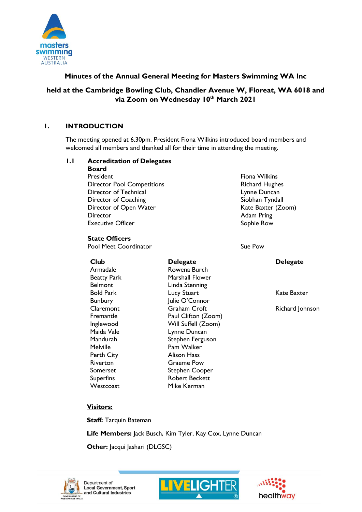

# **Minutes of the Annual General Meeting for Masters Swimming WA Inc**

# **held at the Cambridge Bowling Club, Chandler Avenue W, Floreat, WA 6018 and via Zoom on Wednesday 10 th March 2021**

### **1. INTRODUCTION**

The meeting opened at 6.30pm. President Fiona Wilkins introduced board members and welcomed all members and thanked all for their time in attending the meeting.

| 1.1 | <b>Accreditation of Delegates</b>                                                                                         |                       |                                                                                                 |  |                          |  |                   |
|-----|---------------------------------------------------------------------------------------------------------------------------|-----------------------|-------------------------------------------------------------------------------------------------|--|--------------------------|--|-------------------|
|     | <b>Board</b>                                                                                                              |                       |                                                                                                 |  |                          |  |                   |
|     | President<br><b>Director Pool Competitions</b><br>Director of Technical<br>Director of Coaching<br>Director of Open Water |                       | Fiona Wilkins<br><b>Richard Hughes</b><br>Lynne Duncan<br>Siobhan Tyndall<br>Kate Baxter (Zoom) |  |                          |  |                   |
|     |                                                                                                                           |                       |                                                                                                 |  | Director                 |  | <b>Adam Pring</b> |
|     |                                                                                                                           |                       |                                                                                                 |  | <b>Executive Officer</b> |  | Sophie Row        |
|     |                                                                                                                           |                       |                                                                                                 |  | <b>State Officers</b>    |  |                   |
|     |                                                                                                                           |                       |                                                                                                 |  | Pool Meet Coordinator    |  | Sue Pow           |
|     | Club                                                                                                                      | <b>Delegate</b>       | <b>Delegate</b>                                                                                 |  |                          |  |                   |
|     | Armadale                                                                                                                  | Rowena Burch          |                                                                                                 |  |                          |  |                   |
|     | <b>Beatty Park</b>                                                                                                        | Marshall Flower       |                                                                                                 |  |                          |  |                   |
|     | <b>Belmont</b>                                                                                                            | Linda Stenning        |                                                                                                 |  |                          |  |                   |
|     | <b>Bold Park</b>                                                                                                          | Lucy Stuart           | Kate Baxter                                                                                     |  |                          |  |                   |
|     | <b>Bunbury</b>                                                                                                            | Julie O'Connor        |                                                                                                 |  |                          |  |                   |
|     | Claremont                                                                                                                 | <b>Graham Croft</b>   | Richard Johnson                                                                                 |  |                          |  |                   |
|     | Fremantle                                                                                                                 | Paul Clifton (Zoom)   |                                                                                                 |  |                          |  |                   |
|     | Inglewood                                                                                                                 | Will Suffell (Zoom)   |                                                                                                 |  |                          |  |                   |
|     | Maida Vale                                                                                                                | Lynne Duncan          |                                                                                                 |  |                          |  |                   |
|     | Mandurah                                                                                                                  | Stephen Ferguson      |                                                                                                 |  |                          |  |                   |
|     | Melville                                                                                                                  | Pam Walker            |                                                                                                 |  |                          |  |                   |
|     | Perth City                                                                                                                | <b>Alison Hass</b>    |                                                                                                 |  |                          |  |                   |
|     | Riverton                                                                                                                  | Graeme Pow            |                                                                                                 |  |                          |  |                   |
|     | Somerset                                                                                                                  | Stephen Cooper        |                                                                                                 |  |                          |  |                   |
|     | Superfins                                                                                                                 | <b>Robert Beckett</b> |                                                                                                 |  |                          |  |                   |
|     | Westcoast                                                                                                                 | Mike Kerman           |                                                                                                 |  |                          |  |                   |
|     |                                                                                                                           |                       |                                                                                                 |  |                          |  |                   |

#### **Visitors:**

**Staff:** Tarquin Bateman

**Life Members:** Jack Busch, Kim Tyler, Kay Cox, Lynne Duncan

**Other:** Jacqui Jashari (DLGSC)





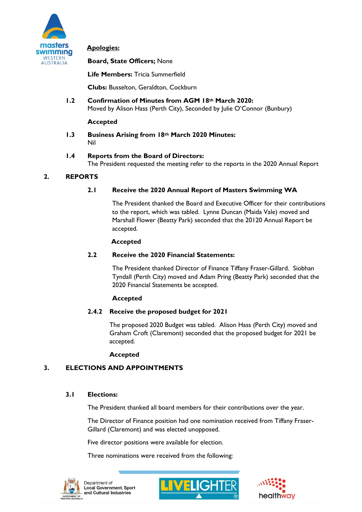

#### **Apologies:**

**Board, State Officers;** None

**Life Members:** Tricia Summerfield

**Clubs:** Busselton, Geraldton, Cockburn

**1.2 Confirmation of Minutes from AGM 18th March 2020:** Moved by Alison Hass (Perth City), Seconded by Julie O'Connor (Bunbury)

#### **Accepted**

- **1.3 Business Arising from 18th March 2020 Minutes:** Nil
- **1.4 Reports from the Board of Directors:** The President requested the meeting refer to the reports in the 2020 Annual Report

### **2. REPORTS**

### **2.1 Receive the 2020 Annual Report of Masters Swimming WA**

The President thanked the Board and Executive Officer for their contributions to the report, which was tabled. Lynne Duncan (Maida Vale) moved and Marshall Flower (Beatty Park) seconded that the 20120 Annual Report be accepted.

#### **Accepted**

#### **2.2 Receive the 2020 Financial Statements:**

The President thanked Director of Finance Tiffany Fraser-Gillard. Siobhan Tyndall (Perth City) moved and Adam Pring (Beatty Park) seconded that the 2020 Financial Statements be accepted.

#### **Accepted**

### **2.4.2 Receive the proposed budget for 2021**

The proposed 2020 Budget was tabled. Alison Hass (Perth City) moved and Graham Croft (Claremont) seconded that the proposed budget for 2021 be accepted.

#### **Accepted**

### **3. ELECTIONS AND APPOINTMENTS**

#### **3.1 Elections:**

The President thanked all board members for their contributions over the year.

The Director of Finance position had one nomination received from Tiffany Fraser-Gillard (Claremont) and was elected unopposed.

Five director positions were available for election.

Three nominations were received from the following:





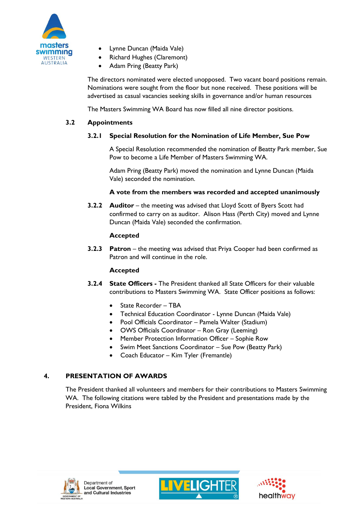

- Lynne Duncan (Maida Vale)
- Richard Hughes (Claremont)
- Adam Pring (Beatty Park)

The directors nominated were elected unopposed. Two vacant board positions remain. Nominations were sought from the floor but none received. These positions will be advertised as casual vacancies seeking skills in governance and/or human resources

The Masters Swimming WA Board has now filled all nine director positions.

# **3.2 Appointments**

### **3.2.1 Special Resolution for the Nomination of Life Member, Sue Pow**

A Special Resolution recommended the nomination of Beatty Park member, Sue Pow to become a Life Member of Masters Swimming WA.

Adam Pring (Beatty Park) moved the nomination and Lynne Duncan (Maida Vale) seconded the nomination.

#### **A vote from the members was recorded and accepted unanimously**

**3.2.2 Auditor** – the meeting was advised that Lloyd Scott of Byers Scott had confirmed to carry on as auditor. Alison Hass (Perth City) moved and Lynne Duncan (Maida Vale) seconded the confirmation.

#### **Accepted**

**3.2.3 Patron** – the meeting was advised that Priya Cooper had been confirmed as Patron and will continue in the role.

### **Accepted**

- **3.2.4 State Officers -** The President thanked all State Officers for their valuable contributions to Masters Swimming WA. State Officer positions as follows:
	- State Recorder TBA
	- Technical Education Coordinator Lynne Duncan (Maida Vale)
	- Pool Officials Coordinator Pamela Walter (Stadium)
	- OWS Officials Coordinator Ron Gray (Leeming)
	- Member Protection Information Officer Sophie Row
	- Swim Meet Sanctions Coordinator Sue Pow (Beatty Park)
	- Coach Educator Kim Tyler (Fremantle)

### **4. PRESENTATION OF AWARDS**

The President thanked all volunteers and members for their contributions to Masters Swimming WA. The following citations were tabled by the President and presentations made by the President, Fiona Wilkins





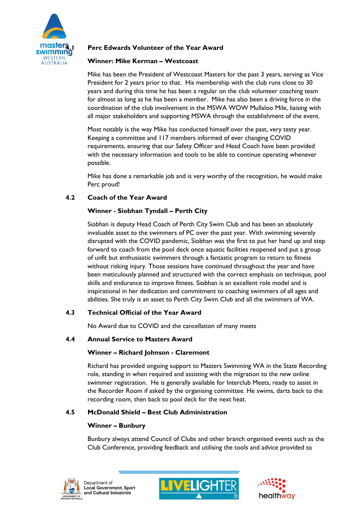

# **4.1 Perc Edwards Volunteer of the Year Award**

#### **Winner: Mike Kerman – Westcoast**

Mike has been the President of Westcoast Masters for the past 3 years, serving as Vice President for 2 years prior to that. His membership with the club runs close to 30 years and during this time he has been a regular on the club volunteer coaching team for almost as long as he has been a member. Mike has also been a driving force in the coordination of the club involvement in the MSWA WOW Mullaloo Mile, liaising with all major stakeholders and supporting MSWA through the establishment of the event.

Most notably is the way Mike has conducted himself over the past, very testy year. Keeping a committee and 117 members informed of ever changing COVID requirements, ensuring that our Safety Officer and Head Coach have been provided with the necessary information and tools to be able to continue operating whenever possible.

Mike has done a remarkable job and is very worthy of the recognition, he would make Perc proud!

### **4.2 Coach of the Year Award**

### **Winner - Siobhan Tyndall – Perth City**

Siobhan is deputy Head Coach of Perth City Swim Club and has been an absolutely invaluable asset to the swimmers of PC over the past year. With swimming severely disrupted with the COVID pandemic, Siobhan was the first to put her hand up and step forward to coach from the pool deck once aquatic facilities reopened and put a group of unfit but enthusiastic swimmers through a fantastic program to return to fitness without risking injury. Those sessions have continued throughout the year and have been meticulously planned and structured with the correct emphasis on technique, pool skills and endurance to improve fitness. Siobhan is an excellent role model and is inspirational in her dedication and commitment to coaching swimmers of all ages and abilities. She truly is an asset to Perth City Swim Club and all the swimmers of WA.

### **4.3 Technical Official of the Year Award**

No Award due to COVID and the cancellation of many meets

### **4.4 Annual Service to Masters Award**

### **Winner – Richard Johnson - Claremont**

Richard has provided ongoing support to Masters Swimming WA in the State Recording role, standing in when required and assisting with the migration to the new online swimmer registration. He is generally available for Interclub Meets, ready to assist in the Recorder Room if asked by the organising committee. He swims, darts back to the recording room, then back to pool deck for the next heat.

### **4.5 McDonald Shield – Best Club Administration**

### **Winner – Bunbury**

Bunbury always attend Council of Clubs and other branch organised events such as the Club Conference, providing feedback and utilising the tools and advice provided to